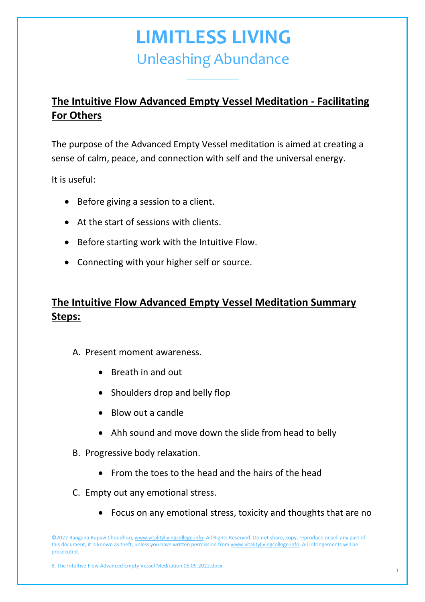*\_\_\_\_\_\_\_\_\_\_\_\_\_\_\_\_\_\_\_\_\_\_\_\_\_\_\_\_\_*

### **The Intuitive Flow Advanced Empty Vessel Meditation - Facilitating For Others**

The purpose of the Advanced Empty Vessel meditation is aimed at creating a sense of calm, peace, and connection with self and the universal energy.

It is useful:

- Before giving a session to a client.
- At the start of sessions with clients.
- Before starting work with the Intuitive Flow.
- Connecting with your higher self or source.

### **The Intuitive Flow Advanced Empty Vessel Meditation Summary Steps:**

- A. Present moment awareness.
	- Breath in and out
	- Shoulders drop and belly flop
	- Blow out a candle
	- Ahh sound and move down the slide from head to belly
- B. Progressive body relaxation.
	- From the toes to the head and the hairs of the head
- C. Empty out any emotional stress.
	- Focus on any emotional stress, toxicity and thoughts that are no

©2022 Rangana Rupavi Choudhuri[, www.vitalitylivingcollege.info.](http://www.vitalitylivingcollege.info/) All Rights Reserved. Do not share, copy, reproduce or sell any part of this document, it is known as theft, unless you have written permission fro[m www.vitalitylivingcollege.info.](http://www.vitalitylivingcollege.info/) All infringements will be prosecuted.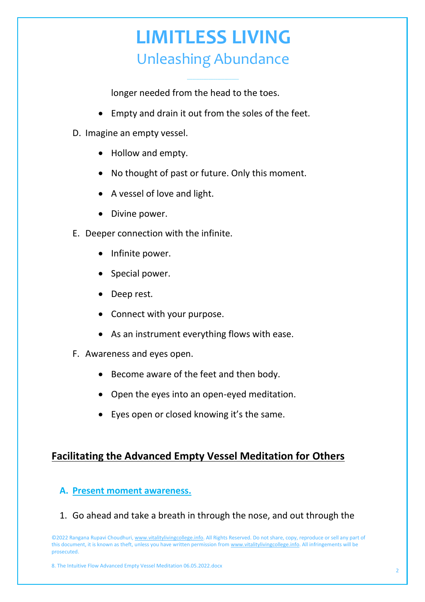*\_\_\_\_\_\_\_\_\_\_\_\_\_\_\_\_\_\_\_\_\_\_\_\_\_\_\_\_\_*

longer needed from the head to the toes.

- Empty and drain it out from the soles of the feet.
- D. Imagine an empty vessel.
	- Hollow and empty.
	- No thought of past or future. Only this moment.
	- A vessel of love and light.
	- Divine power.
- E. Deeper connection with the infinite.
	- Infinite power.
	- Special power.
	- Deep rest.
	- Connect with your purpose.
	- As an instrument everything flows with ease.
- F. Awareness and eyes open.
	- Become aware of the feet and then body.
	- Open the eyes into an open-eyed meditation.
	- Eyes open or closed knowing it's the same.

### **Facilitating the Advanced Empty Vessel Meditation for Others**

#### **A. Present moment awareness.**

1. Go ahead and take a breath in through the nose, and out through the

©2022 Rangana Rupavi Choudhuri[, www.vitalitylivingcollege.info.](http://www.vitalitylivingcollege.info/) All Rights Reserved. Do not share, copy, reproduce or sell any part of this document, it is known as theft, unless you have written permission fro[m www.vitalitylivingcollege.info.](http://www.vitalitylivingcollege.info/) All infringements will be prosecuted.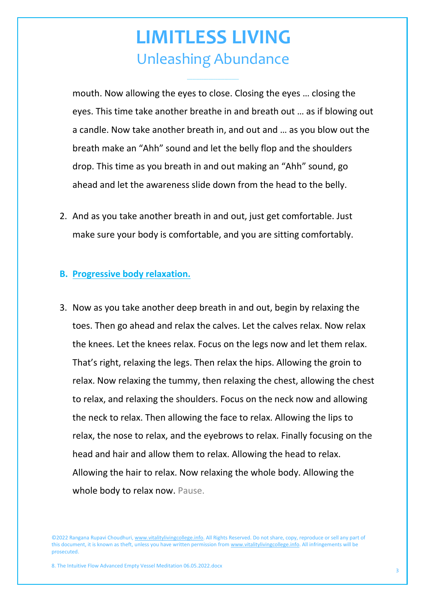*\_\_\_\_\_\_\_\_\_\_\_\_\_\_\_\_\_\_\_\_\_\_\_\_\_\_\_\_\_*

mouth. Now allowing the eyes to close. Closing the eyes … closing the eyes. This time take another breathe in and breath out … as if blowing out a candle. Now take another breath in, and out and … as you blow out the breath make an "Ahh" sound and let the belly flop and the shoulders drop. This time as you breath in and out making an "Ahh" sound, go ahead and let the awareness slide down from the head to the belly.

2. And as you take another breath in and out, just get comfortable. Just make sure your body is comfortable, and you are sitting comfortably.

#### **B. Progressive body relaxation.**

3. Now as you take another deep breath in and out, begin by relaxing the toes. Then go ahead and relax the calves. Let the calves relax. Now relax the knees. Let the knees relax. Focus on the legs now and let them relax. That's right, relaxing the legs. Then relax the hips. Allowing the groin to relax. Now relaxing the tummy, then relaxing the chest, allowing the chest to relax, and relaxing the shoulders. Focus on the neck now and allowing the neck to relax. Then allowing the face to relax. Allowing the lips to relax, the nose to relax, and the eyebrows to relax. Finally focusing on the head and hair and allow them to relax. Allowing the head to relax. Allowing the hair to relax. Now relaxing the whole body. Allowing the whole body to relax now. Pause.

©2022 Rangana Rupavi Choudhuri[, www.vitalitylivingcollege.info.](http://www.vitalitylivingcollege.info/) All Rights Reserved. Do not share, copy, reproduce or sell any part of this document, it is known as theft, unless you have written permission fro[m www.vitalitylivingcollege.info.](http://www.vitalitylivingcollege.info/) All infringements will be prosecuted.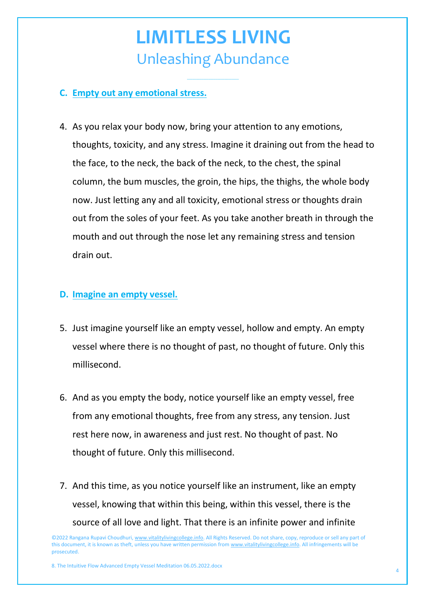*\_\_\_\_\_\_\_\_\_\_\_\_\_\_\_\_\_\_\_\_\_\_\_\_\_\_\_\_\_*

#### **C. Empty out any emotional stress.**

4. As you relax your body now, bring your attention to any emotions, thoughts, toxicity, and any stress. Imagine it draining out from the head to the face, to the neck, the back of the neck, to the chest, the spinal column, the bum muscles, the groin, the hips, the thighs, the whole body now. Just letting any and all toxicity, emotional stress or thoughts drain out from the soles of your feet. As you take another breath in through the mouth and out through the nose let any remaining stress and tension drain out.

#### **D. Imagine an empty vessel.**

- 5. Just imagine yourself like an empty vessel, hollow and empty. An empty vessel where there is no thought of past, no thought of future. Only this millisecond.
- 6. And as you empty the body, notice yourself like an empty vessel, free from any emotional thoughts, free from any stress, any tension. Just rest here now, in awareness and just rest. No thought of past. No thought of future. Only this millisecond.
- 7. And this time, as you notice yourself like an instrument, like an empty vessel, knowing that within this being, within this vessel, there is the source of all love and light. That there is an infinite power and infinite

©2022 Rangana Rupavi Choudhuri[, www.vitalitylivingcollege.info.](http://www.vitalitylivingcollege.info/) All Rights Reserved. Do not share, copy, reproduce or sell any part of this document, it is known as theft, unless you have written permission fro[m www.vitalitylivingcollege.info.](http://www.vitalitylivingcollege.info/) All infringements will be prosecuted.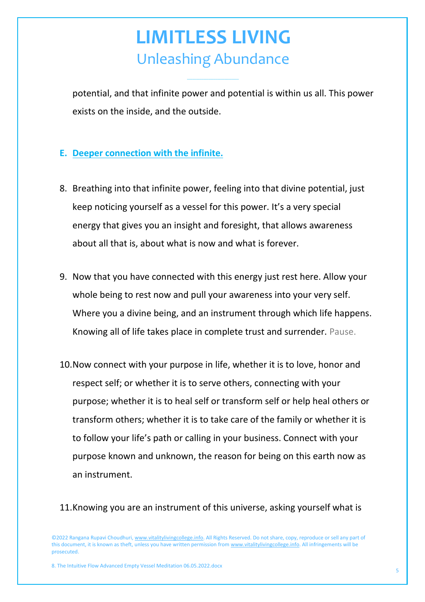*\_\_\_\_\_\_\_\_\_\_\_\_\_\_\_\_\_\_\_\_\_\_\_\_\_\_\_\_\_*

potential, and that infinite power and potential is within us all. This power exists on the inside, and the outside.

#### **E. Deeper connection with the infinite.**

- 8. Breathing into that infinite power, feeling into that divine potential, just keep noticing yourself as a vessel for this power. It's a very special energy that gives you an insight and foresight, that allows awareness about all that is, about what is now and what is forever.
- 9. Now that you have connected with this energy just rest here. Allow your whole being to rest now and pull your awareness into your very self. Where you a divine being, and an instrument through which life happens. Knowing all of life takes place in complete trust and surrender. Pause.
- 10.Now connect with your purpose in life, whether it is to love, honor and respect self; or whether it is to serve others, connecting with your purpose; whether it is to heal self or transform self or help heal others or transform others; whether it is to take care of the family or whether it is to follow your life's path or calling in your business. Connect with your purpose known and unknown, the reason for being on this earth now as an instrument.

11.Knowing you are an instrument of this universe, asking yourself what is

©2022 Rangana Rupavi Choudhuri[, www.vitalitylivingcollege.info.](http://www.vitalitylivingcollege.info/) All Rights Reserved. Do not share, copy, reproduce or sell any part of this document, it is known as theft, unless you have written permission fro[m www.vitalitylivingcollege.info.](http://www.vitalitylivingcollege.info/) All infringements will be prosecuted.